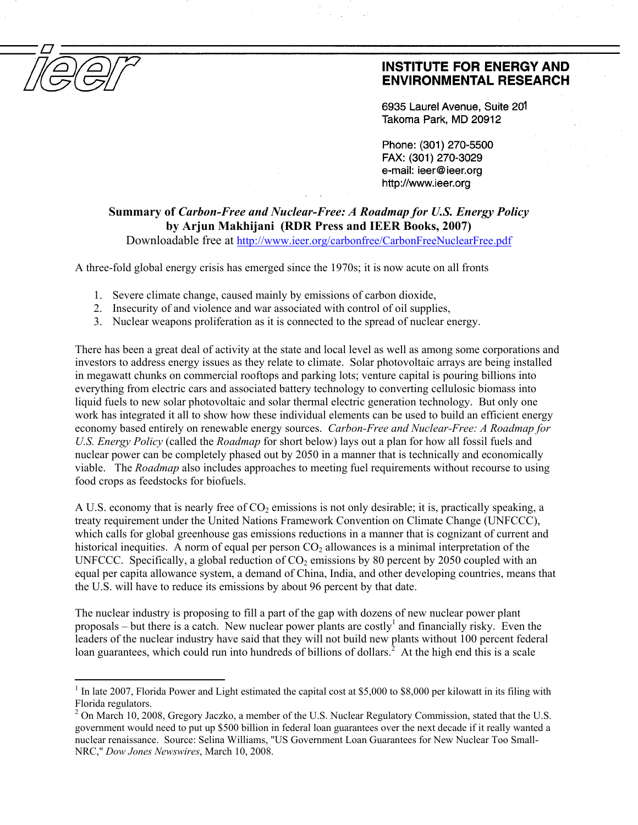$\overline{a}$ 

## **INSTITUTE FOR ENERGY AND ENVIRONMENTAL RESEARCH**

6935 Laurel Avenue. Suite 201 Takoma Park, MD 20912

Phone: (301) 270-5500 FAX: (301) 270-3029 e-mail: ieer@ieer.org http://www.ieer.org

**Summary of** *Carbon-Free and Nuclear-Free: A Roadmap for U.S. Energy Policy*  **by Arjun Makhijani (RDR Press and IEER Books, 2007)** 

Downloadable free at http://www.ieer.org/carbonfree/CarbonFreeNuclearFree.pdf

A three-fold global energy crisis has emerged since the 1970s; it is now acute on all fronts

- 1. Severe climate change, caused mainly by emissions of carbon dioxide,
- 2. Insecurity of and violence and war associated with control of oil supplies,
- 3. Nuclear weapons proliferation as it is connected to the spread of nuclear energy.

There has been a great deal of activity at the state and local level as well as among some corporations and investors to address energy issues as they relate to climate. Solar photovoltaic arrays are being installed in megawatt chunks on commercial rooftops and parking lots; venture capital is pouring billions into everything from electric cars and associated battery technology to converting cellulosic biomass into liquid fuels to new solar photovoltaic and solar thermal electric generation technology. But only one work has integrated it all to show how these individual elements can be used to build an efficient energy economy based entirely on renewable energy sources. *Carbon-Free and Nuclear-Free: A Roadmap for U.S. Energy Policy* (called the *Roadmap* for short below) lays out a plan for how all fossil fuels and nuclear power can be completely phased out by 2050 in a manner that is technically and economically viable. The *Roadmap* also includes approaches to meeting fuel requirements without recourse to using food crops as feedstocks for biofuels.

A U.S. economy that is nearly free of  $CO<sub>2</sub>$  emissions is not only desirable; it is, practically speaking, a treaty requirement under the United Nations Framework Convention on Climate Change (UNFCCC), which calls for global greenhouse gas emissions reductions in a manner that is cognizant of current and historical inequities. A norm of equal per person  $CO<sub>2</sub>$  allowances is a minimal interpretation of the UNFCCC. Specifically, a global reduction of  $CO<sub>2</sub>$  emissions by 80 percent by 2050 coupled with an equal per capita allowance system, a demand of China, India, and other developing countries, means that the U.S. will have to reduce its emissions by about 96 percent by that date.

The nuclear industry is proposing to fill a part of the gap with dozens of new nuclear power plant proposals – but there is a catch. New nuclear power plants are costly<sup>1</sup> and financially risky. Even the leaders of the nuclear industry have said that they will not build new plants without 100 percent federal loan guarantees, which could run into hundreds of billions of dollars.<sup>2</sup> At the high end this is a scale

<sup>&</sup>lt;sup>1</sup> In late 2007, Florida Power and Light estimated the capital cost at \$5,000 to \$8,000 per kilowatt in its filing with Florida regulators.

 $2$  On March 10, 2008, Gregory Jaczko, a member of the U.S. Nuclear Regulatory Commission, stated that the U.S. government would need to put up \$500 billion in federal loan guarantees over the next decade if it really wanted a nuclear renaissance. Source: Selina Williams, "US Government Loan Guarantees for New Nuclear Too Small-NRC," *Dow Jones Newswires*, March 10, 2008.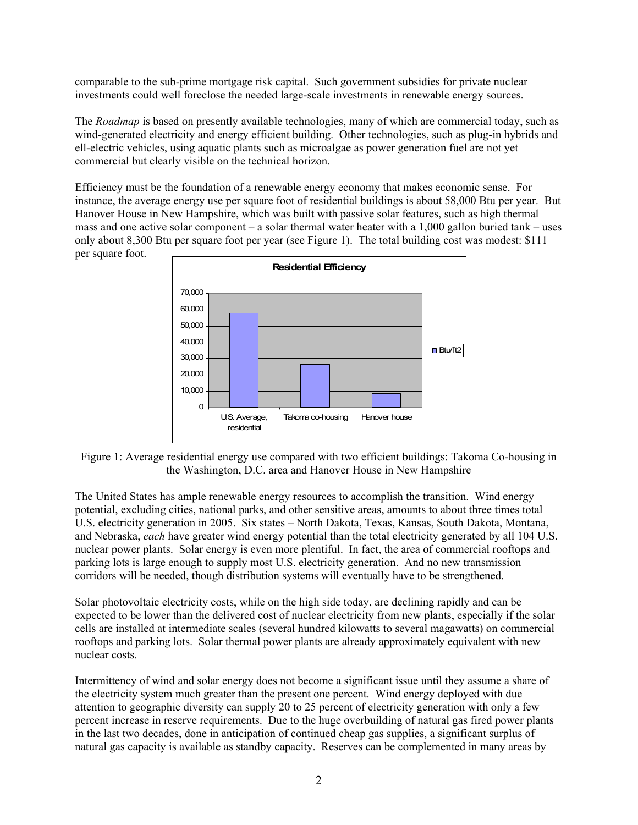comparable to the sub-prime mortgage risk capital. Such government subsidies for private nuclear investments could well foreclose the needed large-scale investments in renewable energy sources.

The *Roadmap* is based on presently available technologies, many of which are commercial today, such as wind-generated electricity and energy efficient building. Other technologies, such as plug-in hybrids and ell-electric vehicles, using aquatic plants such as microalgae as power generation fuel are not yet commercial but clearly visible on the technical horizon.

Efficiency must be the foundation of a renewable energy economy that makes economic sense. For instance, the average energy use per square foot of residential buildings is about 58,000 Btu per year. But Hanover House in New Hampshire, which was built with passive solar features, such as high thermal mass and one active solar component – a solar thermal water heater with a 1,000 gallon buried tank – uses only about 8,300 Btu per square foot per year (see Figure 1). The total building cost was modest: \$111 per square foot.



Figure 1: Average residential energy use compared with two efficient buildings: Takoma Co-housing in the Washington, D.C. area and Hanover House in New Hampshire

The United States has ample renewable energy resources to accomplish the transition. Wind energy potential, excluding cities, national parks, and other sensitive areas, amounts to about three times total U.S. electricity generation in 2005. Six states – North Dakota, Texas, Kansas, South Dakota, Montana, and Nebraska, *each* have greater wind energy potential than the total electricity generated by all 104 U.S. nuclear power plants. Solar energy is even more plentiful. In fact, the area of commercial rooftops and parking lots is large enough to supply most U.S. electricity generation. And no new transmission corridors will be needed, though distribution systems will eventually have to be strengthened.

Solar photovoltaic electricity costs, while on the high side today, are declining rapidly and can be expected to be lower than the delivered cost of nuclear electricity from new plants, especially if the solar cells are installed at intermediate scales (several hundred kilowatts to several magawatts) on commercial rooftops and parking lots. Solar thermal power plants are already approximately equivalent with new nuclear costs.

Intermittency of wind and solar energy does not become a significant issue until they assume a share of the electricity system much greater than the present one percent. Wind energy deployed with due attention to geographic diversity can supply 20 to 25 percent of electricity generation with only a few percent increase in reserve requirements. Due to the huge overbuilding of natural gas fired power plants in the last two decades, done in anticipation of continued cheap gas supplies, a significant surplus of natural gas capacity is available as standby capacity. Reserves can be complemented in many areas by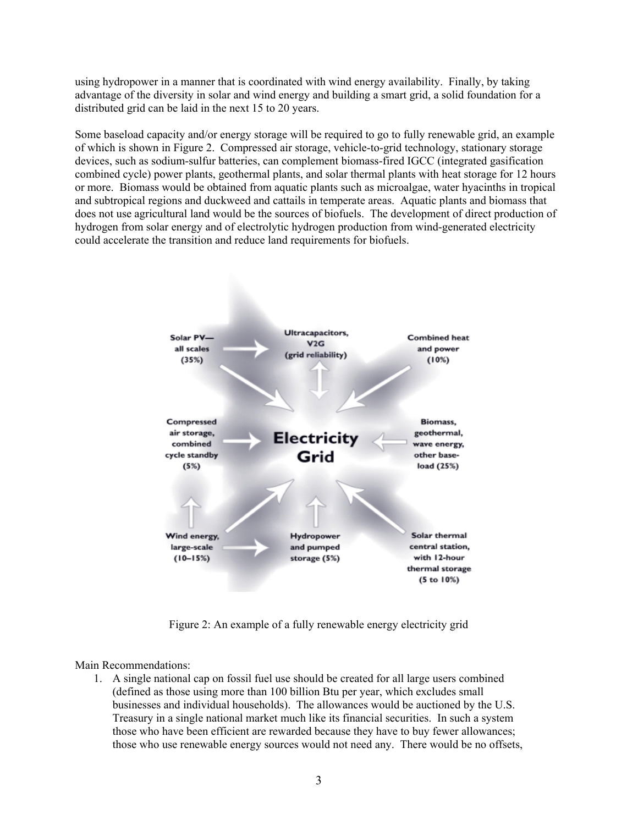using hydropower in a manner that is coordinated with wind energy availability. Finally, by taking advantage of the diversity in solar and wind energy and building a smart grid, a solid foundation for a distributed grid can be laid in the next 15 to 20 years.

Some baseload capacity and/or energy storage will be required to go to fully renewable grid, an example of which is shown in Figure 2. Compressed air storage, vehicle-to-grid technology, stationary storage devices, such as sodium-sulfur batteries, can complement biomass-fired IGCC (integrated gasification combined cycle) power plants, geothermal plants, and solar thermal plants with heat storage for 12 hours or more. Biomass would be obtained from aquatic plants such as microalgae, water hyacinths in tropical and subtropical regions and duckweed and cattails in temperate areas. Aquatic plants and biomass that does not use agricultural land would be the sources of biofuels. The development of direct production of hydrogen from solar energy and of electrolytic hydrogen production from wind-generated electricity could accelerate the transition and reduce land requirements for biofuels.



Figure 2: An example of a fully renewable energy electricity grid

Main Recommendations:

1. A single national cap on fossil fuel use should be created for all large users combined (defined as those using more than 100 billion Btu per year, which excludes small businesses and individual households). The allowances would be auctioned by the U.S. Treasury in a single national market much like its financial securities. In such a system those who have been efficient are rewarded because they have to buy fewer allowances; those who use renewable energy sources would not need any. There would be no offsets,